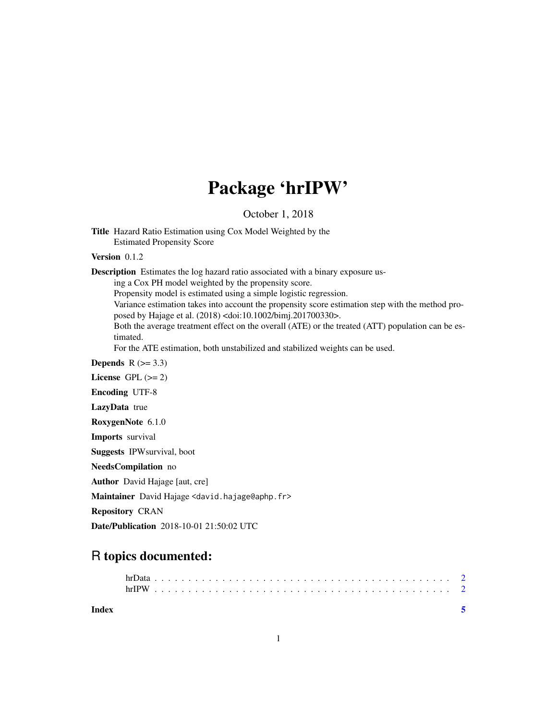## Package 'hrIPW'

October 1, 2018

Title Hazard Ratio Estimation using Cox Model Weighted by the Estimated Propensity Score

Version 0.1.2

Description Estimates the log hazard ratio associated with a binary exposure us-

ing a Cox PH model weighted by the propensity score.

Propensity model is estimated using a simple logistic regression.

Variance estimation takes into account the propensity score estimation step with the method proposed by Hajage et al. (2018) <doi:10.1002/bimj.201700330>.

Both the average treatment effect on the overall (ATE) or the treated (ATT) population can be estimated.

For the ATE estimation, both unstabilized and stabilized weights can be used.

Depends  $R$  ( $>= 3.3$ )

License GPL  $(>= 2)$ 

Encoding UTF-8

LazyData true

RoxygenNote 6.1.0

Imports survival

Suggests IPWsurvival, boot

NeedsCompilation no

Author David Hajage [aut, cre]

Maintainer David Hajage <david.hajage@aphp.fr>

Repository CRAN

Date/Publication 2018-10-01 21:50:02 UTC

### R topics documented: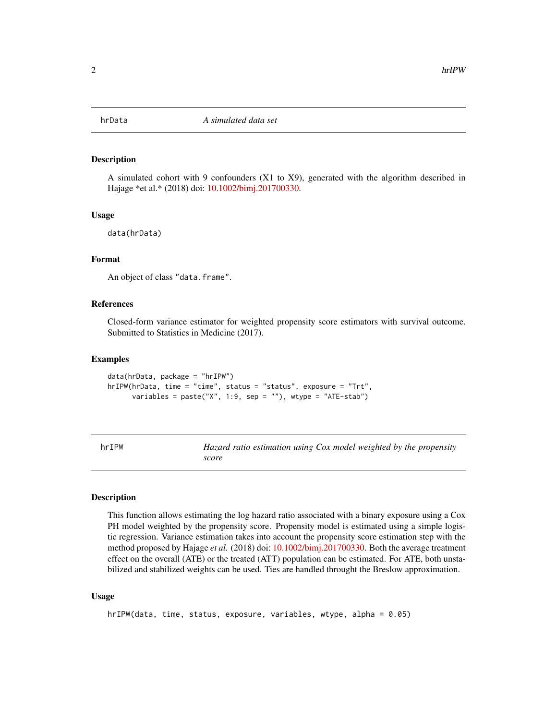<span id="page-1-0"></span>

#### Description

A simulated cohort with 9 confounders (X1 to X9), generated with the algorithm described in Hajage \*et al.\* (2018) doi: [10.1002/bimj.201700330.](http://doi.org/10.1002/bimj.201700330)

#### Usage

data(hrData)

#### Format

An object of class "data.frame".

#### References

Closed-form variance estimator for weighted propensity score estimators with survival outcome. Submitted to Statistics in Medicine (2017).

#### Examples

```
data(hrData, package = "hrIPW")
hrIPW(hrData, time = "time", status = "status", exposure = "Trt",
     variables = paste("X", 1:9, sep = ""), wtype = "ATE-stab")
```

| ı |  |  |
|---|--|--|
|---|--|--|

Hazard ratio estimation using Cox model weighted by the propensity *score*

#### Description

This function allows estimating the log hazard ratio associated with a binary exposure using a Cox PH model weighted by the propensity score. Propensity model is estimated using a simple logistic regression. Variance estimation takes into account the propensity score estimation step with the method proposed by Hajage *et al.* (2018) doi: [10.1002/bimj.201700330.](http://doi.org/10.1002/bimj.201700330) Both the average treatment effect on the overall (ATE) or the treated (ATT) population can be estimated. For ATE, both unstabilized and stabilized weights can be used. Ties are handled throught the Breslow approximation.

#### Usage

```
hrIPW(data, time, status, exposure, variables, wtype, alpha = 0.05)
```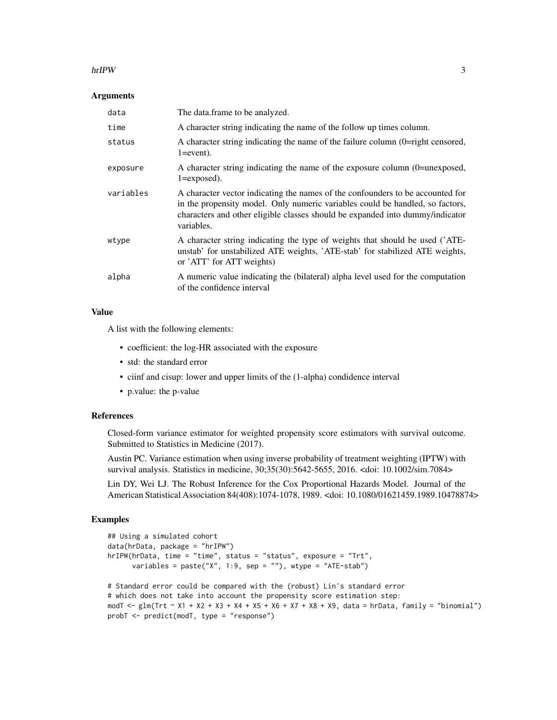#### hrIPW 3

#### **Arguments**

| data      | The data.frame to be analyzed.                                                                                                                                                                                                                                 |
|-----------|----------------------------------------------------------------------------------------------------------------------------------------------------------------------------------------------------------------------------------------------------------------|
| time      | A character string indicating the name of the follow up times column.                                                                                                                                                                                          |
| status    | A character string indicating the name of the failure column (0=right censored,<br>$1 = event$ ).                                                                                                                                                              |
| exposure  | A character string indicating the name of the exposure column (0=unexposed,<br>$1 =$ exposed).                                                                                                                                                                 |
| variables | A character vector indicating the names of the confounders to be accounted for<br>in the propensity model. Only numeric variables could be handled, so factors,<br>characters and other eligible classes should be expanded into dummy/indicator<br>variables. |
| wtype     | A character string indicating the type of weights that should be used ('ATE-<br>unstab' for unstabilized ATE weights, 'ATE-stab' for stabilized ATE weights,<br>or 'ATT' for ATT weights)                                                                      |
| alpha     | A numeric value indicating the (bilateral) alpha level used for the computation<br>of the confidence interval                                                                                                                                                  |

#### Value

A list with the following elements:

- coefficient: the log-HR associated with the exposure
- std: the standard error
- ciinf and cisup: lower and upper limits of the (1-alpha) condidence interval
- p.value: the p-value

#### References

Closed-form variance estimator for weighted propensity score estimators with survival outcome. Submitted to Statistics in Medicine (2017).

Austin PC. Variance estimation when using inverse probability of treatment weighting (IPTW) with survival analysis. Statistics in medicine, 30;35(30):5642-5655, 2016. <doi: 10.1002/sim.7084>

Lin DY, Wei LJ. The Robust Inference for the Cox Proportional Hazards Model. Journal of the American Statistical Association 84(408):1074-1078, 1989. <doi: 10.1080/01621459.1989.10478874>

#### Examples

```
## Using a simulated cohort
data(hrData, package = "hrIPW")
hrIPW(hrData, time = "time", status = "status", exposure = "Trt",
     variables = paste("X", 1:9, sep = ""), wtype = "ATE-stab")
# Standard error could be compared with the (robust) Lin's standard error
# which does not take into account the propensity score estimation step:
modT <- glm(Trt ~ X1 + X2 + X3 + X4 + X5 + X6 + X7 + X8 + X9, data = hrData, family = "binomial")
probT <- predict(modT, type = "response")
```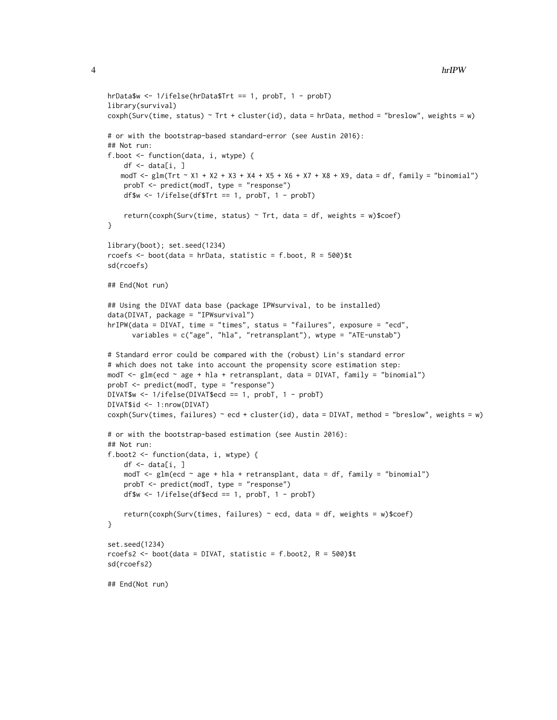```
hrData$w <- 1/ifelse(hrData$Trt == 1, probT, 1 - probT)
library(survival)
cosh(Surv(time, status) \sim Trt + cluster(id), data = hrData, method = "breslow", weights = w)# or with the bootstrap-based standard-error (see Austin 2016):
## Not run:
f.boot <- function(data, i, wtype) {
   df \leq data[i, ]
   modT <- glm(Trt ~ X1 + X2 + X3 + X4 + X5 + X6 + X7 + X8 + X9, data = df, family = "binomial")
   probT <- predict(modT, type = "response")
   df$w \leq 1/ifelse(df$Trt == 1, probT, 1 - probT)
    return(coxph(Surv(time, status) \sim Trt, data = df, weights = w)$coef)
}
library(boot); set.seed(1234)
rcoefs <- boot(data = hrData, statistic = f.boot, R = 500)$t
sd(rcoefs)
## End(Not run)
## Using the DIVAT data base (package IPWsurvival, to be installed)
data(DIVAT, package = "IPWsurvival")
hrIPW(data = DIVAT, time = "times", status = "failures", exposure = "ecd",
      variables = c("age", "hla", "retransplant"), wtype = "ATE-unstab")
# Standard error could be compared with the (robust) Lin's standard error
# which does not take into account the propensity score estimation step:
modT <- glm(ecd ~ age + hla + retransplant, data = DIVAT, family = "binomial")
probT <- predict(modT, type = "response")
DIVAT$w <- 1/ifelse(DIVAT$ecd == 1, probT, 1 - probT)
DIVAT$id <- 1:nrow(DIVAT)
cosh(Surv(times, failures) \sim ecd + cluster(id), data = DIVAT, method = "breakow", weights = w)# or with the bootstrap-based estimation (see Austin 2016):
## Not run:
f.boot2 <- function(data, i, wtype) {
    df \leftarrow data[i, ]modT <- glm(ecd ~ age + hla + retransplant, data = df, family = "binomial")
    probT <- predict(modT, type = "response")
    df$w \le 1/ifelse(df$ecd == 1, probT, 1 - probT)
    return(coxph(Surv(times, failures) ~ ecd, data = df, weights = w)$coef)
}
set.seed(1234)
rcoefs2 <- boot(data = DIVAT, statistic = f.boot2, R = 500)$t
sd(rcoefs2)
## End(Not run)
```